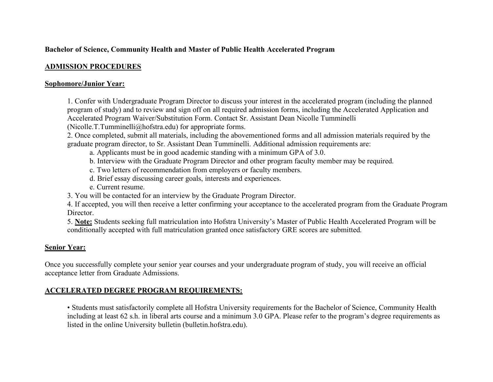# **Bachelor of Science, Community Health and Master of Public Health Accelerated Program**

## **ADMISSION PROCEDURES**

#### **Sophomore/Junior Year:**

 1. Confer with Undergraduate Program Director to discuss your interest in the accelerated program (including the planned program of study) and to review and sign off on all required admission forms, including the Accelerated Application and Accelerated Program Waiver/Substitution Form. Contact Sr. Assistant Dean Nicolle Tumminelli

([Nicolle.T.Tumminelli@hofstra.edu](mailto:Nicolle.T.Tumminelli@hofstra.edu)) for appropriate forms.

 2. Once completed, submit all materials, including the abovementioned forms and all admission materials required by the graduate program director, to Sr. Assistant Dean Tumminelli. Additional admission requirements are:

- a. Applicants must be in good academic standing with a minimum GPA of 3.0.
- b. Interview with the Graduate Program Director and other program faculty member may be required.
- c. Two letters of recommendation from employers or faculty members.
- d. Brief essay discussing career goals, interests and experiences.
- e. Current resume.
- 3. You will be contacted for an interview by the Graduate Program Director.

 4. If accepted, you will then receive a letter confirming your acceptance to the accelerated program from the Graduate Program Director.

Director.<br>5. **Note:** Students seeking full matriculation into Hofstra University's Master of Public Health Accelerated Program will be conditionally accepted with full matriculation granted once satisfactory GRE scores are submitted.

## **Senior Year:**

 Once you successfully complete your senior year courses and your undergraduate program of study, you will receive an official acceptance letter from Graduate Admissions.

## **ACCELERATED DEGREE PROGRAM REQUIREMENTS:**

 • Students must satisfactorily complete all Hofstra University requirements for the Bachelor of Science, Community Health including at least 62 s.h. in liberal arts course and a minimum 3.0 GPA. Please refer to the program's degree requirements as listed in the online University bulletin ([bulletin.hofstra.edu\)](https://bulletin.hofstra.edu).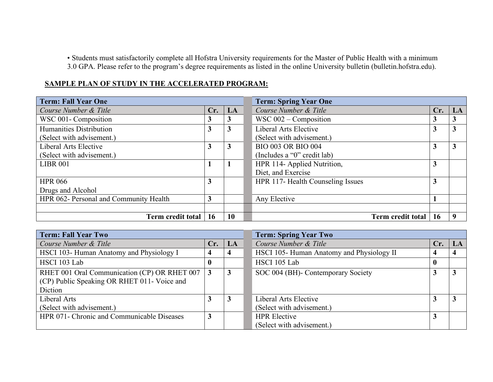• Students must satisfactorily complete all Hofstra University requirements for the Master of Public Health with a minimum 3.0 GPA. Please refer to the program's degree requirements as listed in the online University bulletin [\(bulletin.hofstra.edu\)](https://bulletin.hofstra.edu).

| <b>Term: Fall Year One</b>             |     |    | <b>Term: Spring Year One</b>      |           |             |  |  |
|----------------------------------------|-----|----|-----------------------------------|-----------|-------------|--|--|
| Course Number & Title                  | Cr. | LA | Course Number & Title             | Cr.       | LA          |  |  |
| WSC 001- Composition                   | 3   | 3  | WSC $002$ – Composition           | 3         | 3           |  |  |
| Humanities Distribution                | 3   | 3  | Liberal Arts Elective             | 3         | 3           |  |  |
| (Select with advisement.)              |     |    | (Select with advisement.)         |           |             |  |  |
| Liberal Arts Elective                  | 3   | 3  | <b>BIO 003 OR BIO 004</b>         | 3         | 3           |  |  |
| (Select with advisement.)              |     |    | (Includes a "0" credit lab)       |           |             |  |  |
| <b>LIBR 001</b>                        |     |    | HPR 114- Applied Nutrition,       | 3         |             |  |  |
|                                        |     |    | Diet, and Exercise                |           |             |  |  |
| <b>HPR 066</b>                         | 3   |    | HPR 117- Health Counseling Issues | 3         |             |  |  |
| Drugs and Alcohol                      |     |    |                                   |           |             |  |  |
| HPR 062- Personal and Community Health | 3   |    | Any Elective                      |           |             |  |  |
|                                        |     |    |                                   |           |             |  |  |
| Term credit total                      | 16  | 10 | Term credit total                 | <b>16</b> | $\mathbf o$ |  |  |

#### **SAMPLE PLAN OF STUDY IN THE ACCELERATED PROGRAM:**

| <b>Term: Fall Year Two</b>                                                                             |                  |    | <b>Term: Spring Year Two</b>             |     |              |  |  |
|--------------------------------------------------------------------------------------------------------|------------------|----|------------------------------------------|-----|--------------|--|--|
| Course Number & Title                                                                                  | Cr.              | LA | Course Number & Title                    | Cr. | LA           |  |  |
| HSCI 103- Human Anatomy and Physiology I                                                               | 4                |    | HSCI 105-Human Anatomy and Physiology II |     | 4            |  |  |
| HSCI 103 Lab                                                                                           | $\boldsymbol{0}$ |    | HSCI 105 Lab                             |     |              |  |  |
| RHET 001 Oral Communication (CP) OR RHET 007<br>(CP) Public Speaking OR RHET 011- Voice and<br>Diction | 3                | 3  | SOC 004 (BH) - Contemporary Society      |     | $\mathbf{3}$ |  |  |
| Liberal Arts                                                                                           |                  |    | Liberal Arts Elective                    |     | 3            |  |  |
| (Select with advisement.)                                                                              |                  |    | (Select with advisement.)                |     |              |  |  |
| HPR 071- Chronic and Communicable Diseases                                                             | 3                |    | <b>HPR</b> Elective                      |     |              |  |  |
|                                                                                                        |                  |    | (Select with advisement.)                |     |              |  |  |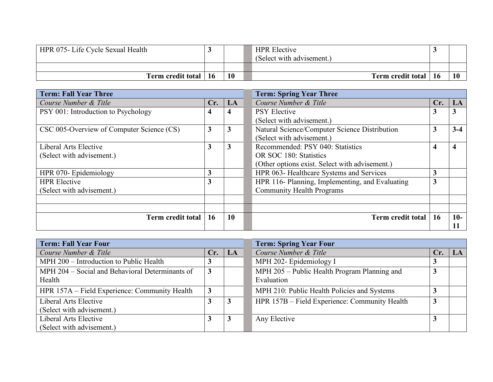| HPR 075- Life Cycle Sexual Health |    | <b>HPR</b> Elective<br>(Select with advisement.) |           |
|-----------------------------------|----|--------------------------------------------------|-----------|
|                                   |    |                                                  |           |
| Term credit total   16            | 10 | Term credit total   16                           | <b>10</b> |

| <b>Term: Fall Year Three</b>              |     |              | <b>Term: Spring Year Three</b>                  |           |                         |  |  |
|-------------------------------------------|-----|--------------|-------------------------------------------------|-----------|-------------------------|--|--|
| Course Number & Title                     | Cr. | LA           | Course Number & Title                           | Cr.       | LA                      |  |  |
| PSY 001: Introduction to Psychology       | 4   | 4            | <b>PSY Elective</b>                             | 3         | 3                       |  |  |
|                                           |     |              | (Select with advisement.)                       |           |                         |  |  |
| CSC 005-Overview of Computer Science (CS) | 3   | $\mathbf{3}$ | Natural Science/Computer Science Distribution   | 3         | $3 - 4$                 |  |  |
|                                           |     |              | (Select with advisement.)                       |           |                         |  |  |
| Liberal Arts Elective                     | 3   | 3            | Recommended: PSY 040: Statistics                | 4         | $\overline{\mathbf{4}}$ |  |  |
| (Select with advisement.)                 |     |              | OR SOC 180: Statistics                          |           |                         |  |  |
|                                           |     |              | (Other options exist. Select with advisement.)  |           |                         |  |  |
| HPR 070- Epidemiology                     | 3   |              | HPR 063- Healthcare Systems and Services        | 3         |                         |  |  |
| <b>HPR</b> Elective                       | 3   |              | HPR 116- Planning, Implementing, and Evaluating | 3         |                         |  |  |
| (Select with advisement.)                 |     |              | <b>Community Health Programs</b>                |           |                         |  |  |
|                                           |     |              |                                                 |           |                         |  |  |
|                                           |     |              |                                                 |           |                         |  |  |
| Term credit total                         | 16  | 10           | Term credit total                               | <b>16</b> | $10-$                   |  |  |
|                                           |     |              |                                                 |           | 11                      |  |  |

| <b>Term: Fall Year Four</b>                     | <b>Term: Spring Year Four</b> |    |                                               |     |    |  |
|-------------------------------------------------|-------------------------------|----|-----------------------------------------------|-----|----|--|
| Course Number & Title                           | Cr.                           | LA | Course Number & Title                         | Cr. | LA |  |
| MPH 200 - Introduction to Public Health         |                               |    | MPH 202- Epidemiology I                       |     |    |  |
| MPH 204 – Social and Behavioral Determinants of | $\mathbf{3}$                  |    | MPH 205 – Public Health Program Planning and  | 3   |    |  |
| Health                                          |                               |    | Evaluation                                    |     |    |  |
| HPR 157A – Field Experience: Community Health   | $\mathbf{3}$                  |    | MPH 210: Public Health Policies and Systems   |     |    |  |
| Liberal Arts Elective                           |                               | 3  | HPR 157B – Field Experience: Community Health | 3   |    |  |
| (Select with advisement.)                       |                               |    |                                               |     |    |  |
| Liberal Arts Elective                           |                               | 3  | Any Elective                                  |     |    |  |
| (Select with advisement.)                       |                               |    |                                               |     |    |  |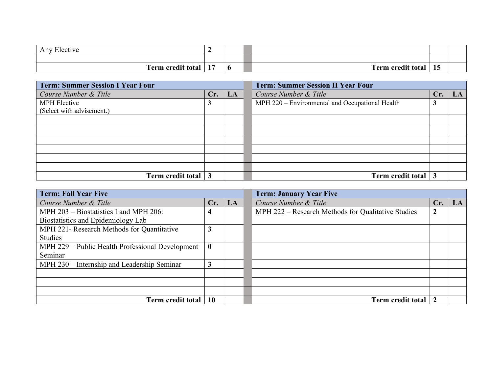| T <sub>1</sub><br>Any Elective |     |     |                   |                     |  |
|--------------------------------|-----|-----|-------------------|---------------------|--|
|                                |     |     |                   |                     |  |
| Term credit total              | . . | - 0 | Term credit total | $\rightarrow$<br>15 |  |

| <b>Term: Summer Session I Year Four</b> |     |    | <b>Term: Summer Session II Year Four</b>        |     |  |  |
|-----------------------------------------|-----|----|-------------------------------------------------|-----|--|--|
| Course Number & Title                   | Cr. | LA | Course Number & Title                           | Cr. |  |  |
| <b>MPH</b> Elective                     | J   |    | MPH 220 - Environmental and Occupational Health |     |  |  |
| (Select with advisement.)               |     |    |                                                 |     |  |  |
|                                         |     |    |                                                 |     |  |  |
|                                         |     |    |                                                 |     |  |  |
|                                         |     |    |                                                 |     |  |  |
|                                         |     |    |                                                 |     |  |  |
|                                         |     |    |                                                 |     |  |  |
|                                         |     |    |                                                 |     |  |  |
| Term credit total 3                     |     |    | Term credit total                               |     |  |  |

| <b>Term: Fall Year Five</b>                      |           |    | <b>Term: January Year Five</b>                     |     |    |
|--------------------------------------------------|-----------|----|----------------------------------------------------|-----|----|
| Course Number & Title                            | Cr.       | LA | Course Number & Title                              | Cr. | LA |
| MPH $203 - Biostatistics I$ and MPH 206:         | 4         |    | MPH 222 – Research Methods for Qualitative Studies | 2   |    |
| Biostatistics and Epidemiology Lab               |           |    |                                                    |     |    |
| MPH 221- Research Methods for Quantitative       | 3         |    |                                                    |     |    |
| <b>Studies</b>                                   |           |    |                                                    |     |    |
| MPH 229 – Public Health Professional Development | $\bf{0}$  |    |                                                    |     |    |
| Seminar                                          |           |    |                                                    |     |    |
| MPH 230 – Internship and Leadership Seminar      | 3         |    |                                                    |     |    |
|                                                  |           |    |                                                    |     |    |
|                                                  |           |    |                                                    |     |    |
|                                                  |           |    |                                                    |     |    |
| Term credit total                                | <b>10</b> |    | Term credit total                                  |     |    |